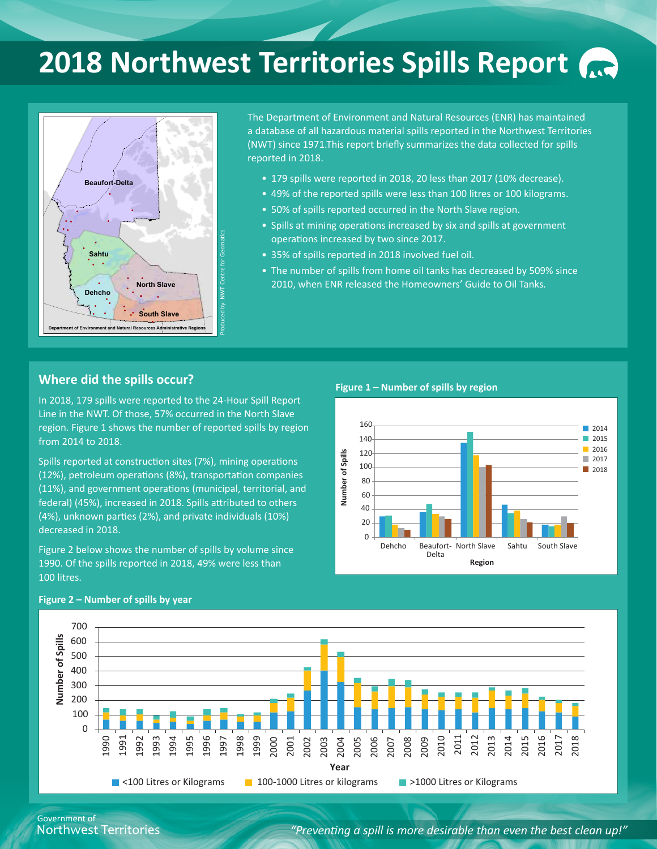# **2018 Northwest Territories Spills Report**



The Department of Environment and Natural Resources (ENR) has maintained a database of all hazardous material spills reported in the Northwest Territories (NWT) since 1971.This report briefly summarizes the data collected for spills reported in 2018.

- 179 spills were reported in 2018, 20 less than 2017 (10% decrease).
- 49% of the reported spills were less than 100 litres or 100 kilograms.
- 50% of spills reported occurred in the North Slave region.
- Spills at mining operations increased by six and spills at government operations increased by two since 2017.
- 35% of spills reported in 2018 involved fuel oil.
- The number of spills from home oil tanks has decreased by 509% since 2010, when ENR released the [Homeowners' Guide to Oil Tanks.](https://www.enr.gov.nt.ca/sites/enr/files/brochures/homeowners_guide_oil_tanks.pdf)

### **Where did the spills occur?**

In 2018, 179 spills were reported to the 24-Hour Spill Report Line in the NWT. Of those, 57% occurred in the North Slave region. Figure 1 shows the number of reported spills by region from 2014 to 2018.

Spills reported at construction sites (7%), mining operations (12%), petroleum operations (8%), transportation companies (11%), and government operations (municipal, territorial, and federal) (45%), increased in 2018. Spills attributed to others (4%), unknown parties (2%), and private individuals (10%) decreased in 2018.

Figure 2 below shows the number of spills by volume since 1990. Of the spills reported in 2018, 49% were less than 100 litres.



#### **Figure 2 – Number of spills by year**



*"Preventing a spill is more desirable than even the best clean up!"*